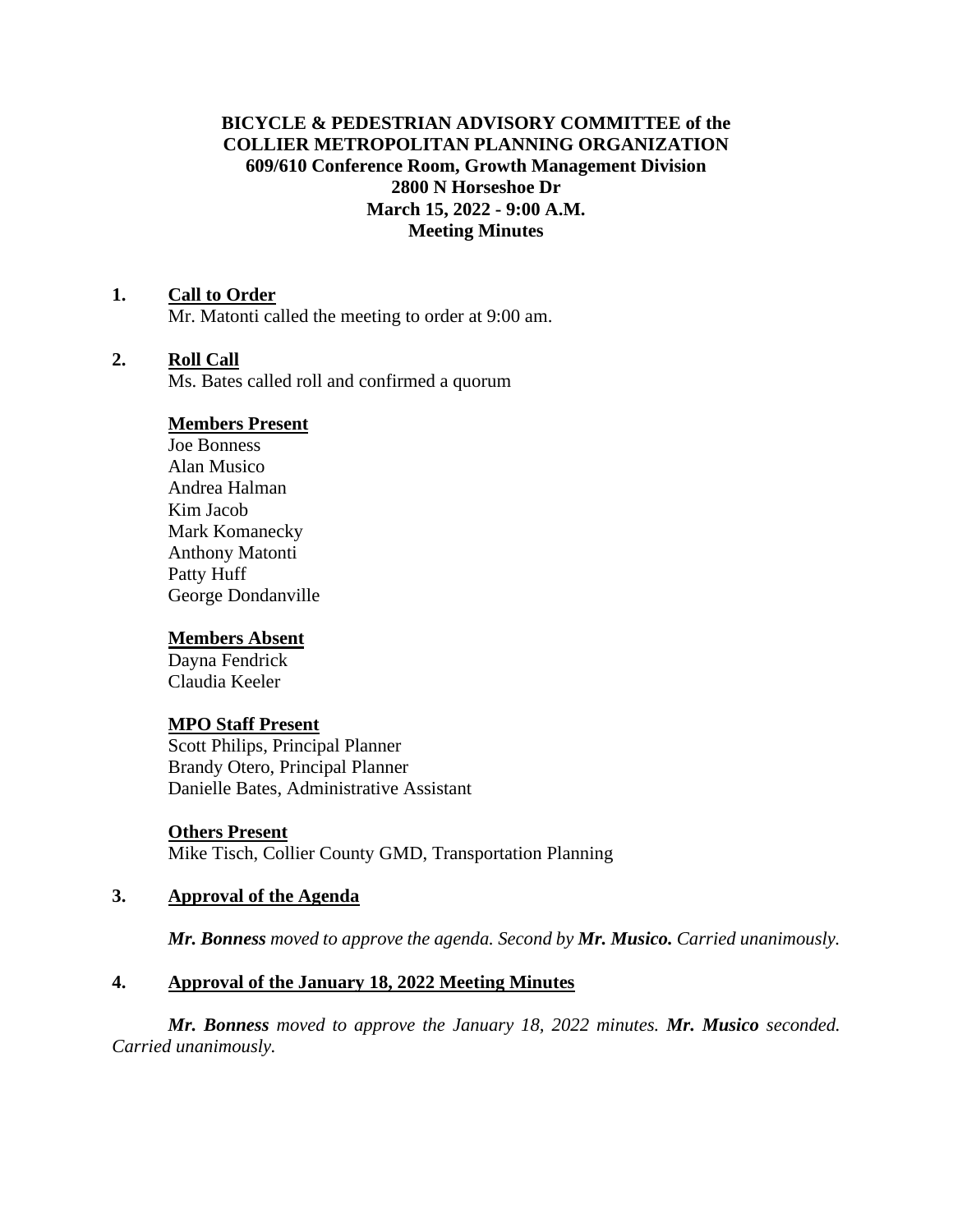# **BICYCLE & PEDESTRIAN ADVISORY COMMITTEE of the COLLIER METROPOLITAN PLANNING ORGANIZATION 609/610 Conference Room, Growth Management Division 2800 N Horseshoe Dr March 15, 2022 - 9:00 A.M. Meeting Minutes**

### **1. Call to Order**

Mr. Matonti called the meeting to order at 9:00 am.

#### **2. Roll Call**

Ms. Bates called roll and confirmed a quorum

#### **Members Present**

Joe Bonness Alan Musico Andrea Halman Kim Jacob Mark Komanecky Anthony Matonti Patty Huff George Dondanville

#### **Members Absent**

Dayna Fendrick Claudia Keeler

#### **MPO Staff Present**

Scott Philips, Principal Planner Brandy Otero, Principal Planner Danielle Bates, Administrative Assistant

**Others Present** Mike Tisch, Collier County GMD, Transportation Planning

#### **3. Approval of the Agenda**

*Mr. Bonness moved to approve the agenda. Second by Mr. Musico. Carried unanimously.*

#### **4. Approval of the January 18, 2022 Meeting Minutes**

*Mr. Bonness moved to approve the January 18, 2022 minutes. Mr. Musico seconded. Carried unanimously.*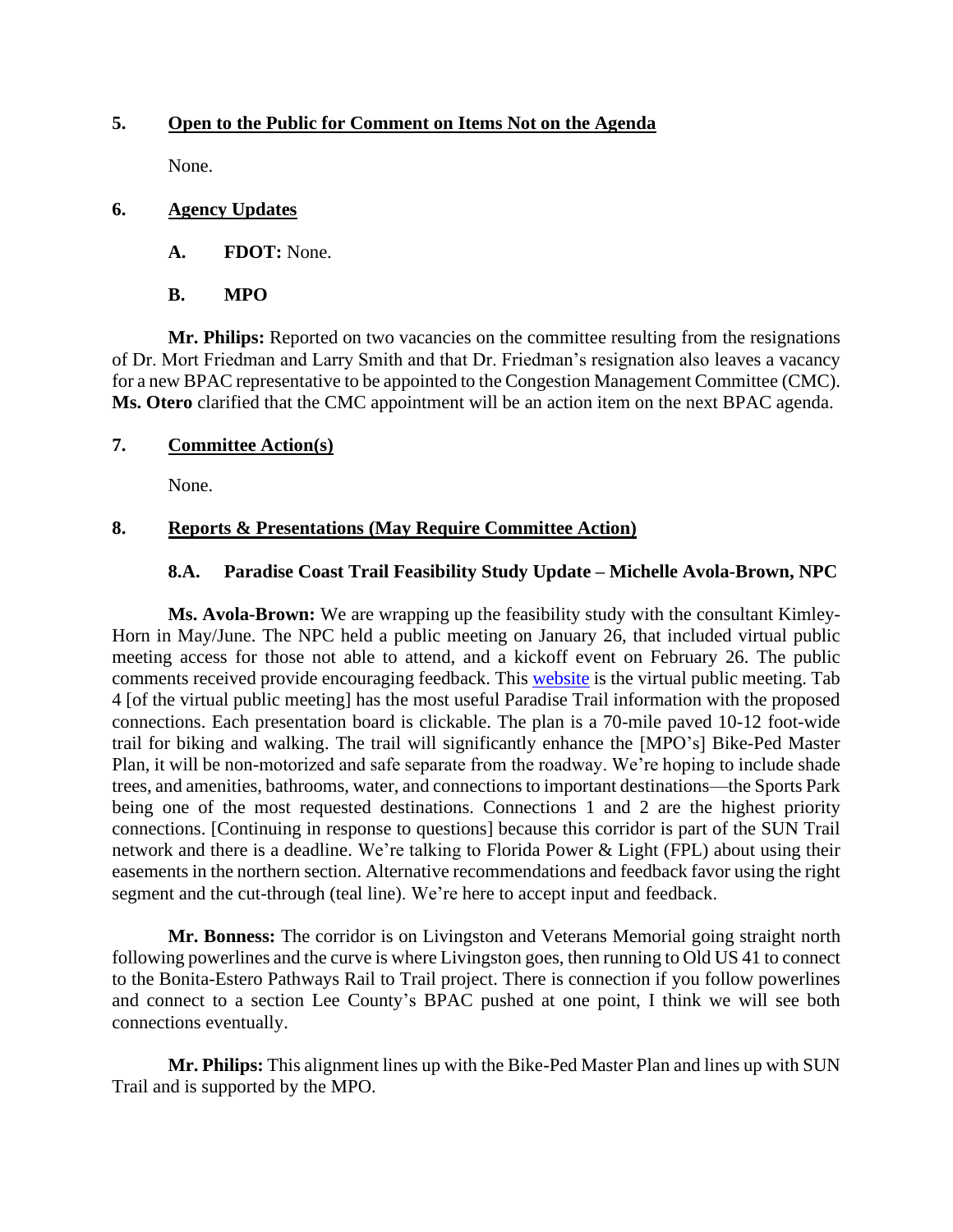## **5. Open to the Public for Comment on Items Not on the Agenda**

None.

### **6. Agency Updates**

- **A. FDOT:** None.
- **B. MPO**

**Mr. Philips:** Reported on two vacancies on the committee resulting from the resignations of Dr. Mort Friedman and Larry Smith and that Dr. Friedman's resignation also leaves a vacancy for a new BPAC representative to be appointed to the Congestion Management Committee (CMC). **Ms. Otero** clarified that the CMC appointment will be an action item on the next BPAC agenda.

### **7. Committee Action(s)**

None.

### **8. Reports & Presentations (May Require Committee Action)**

### **8.A. Paradise Coast Trail Feasibility Study Update – Michelle Avola-Brown, NPC**

**Ms. Avola-Brown:** We are wrapping up the feasibility study with the consultant Kimley-Horn in May/June. The NPC held a public meeting on January 26, that included virtual public meeting access for those not able to attend, and a kickoff event on February 26. The public comments received provide encouraging feedback. This [website](https://paradisecoasttrail.s3.amazonaws.com/index.html) is the virtual public meeting. Tab 4 [of the virtual public meeting] has the most useful Paradise Trail information with the proposed connections. Each presentation board is clickable. The plan is a 70-mile paved 10-12 foot-wide trail for biking and walking. The trail will significantly enhance the [MPO's] Bike-Ped Master Plan, it will be non-motorized and safe separate from the roadway. We're hoping to include shade trees, and amenities, bathrooms, water, and connections to important destinations—the Sports Park being one of the most requested destinations. Connections 1 and 2 are the highest priority connections. [Continuing in response to questions] because this corridor is part of the SUN Trail network and there is a deadline. We're talking to Florida Power & Light (FPL) about using their easements in the northern section. Alternative recommendations and feedback favor using the right segment and the cut-through (teal line). We're here to accept input and feedback.

**Mr. Bonness:** The corridor is on Livingston and Veterans Memorial going straight north following powerlines and the curve is where Livingston goes, then running to Old US 41 to connect to the Bonita-Estero Pathways Rail to Trail project. There is connection if you follow powerlines and connect to a section Lee County's BPAC pushed at one point, I think we will see both connections eventually.

**Mr. Philips:** This alignment lines up with the Bike-Ped Master Plan and lines up with SUN Trail and is supported by the MPO.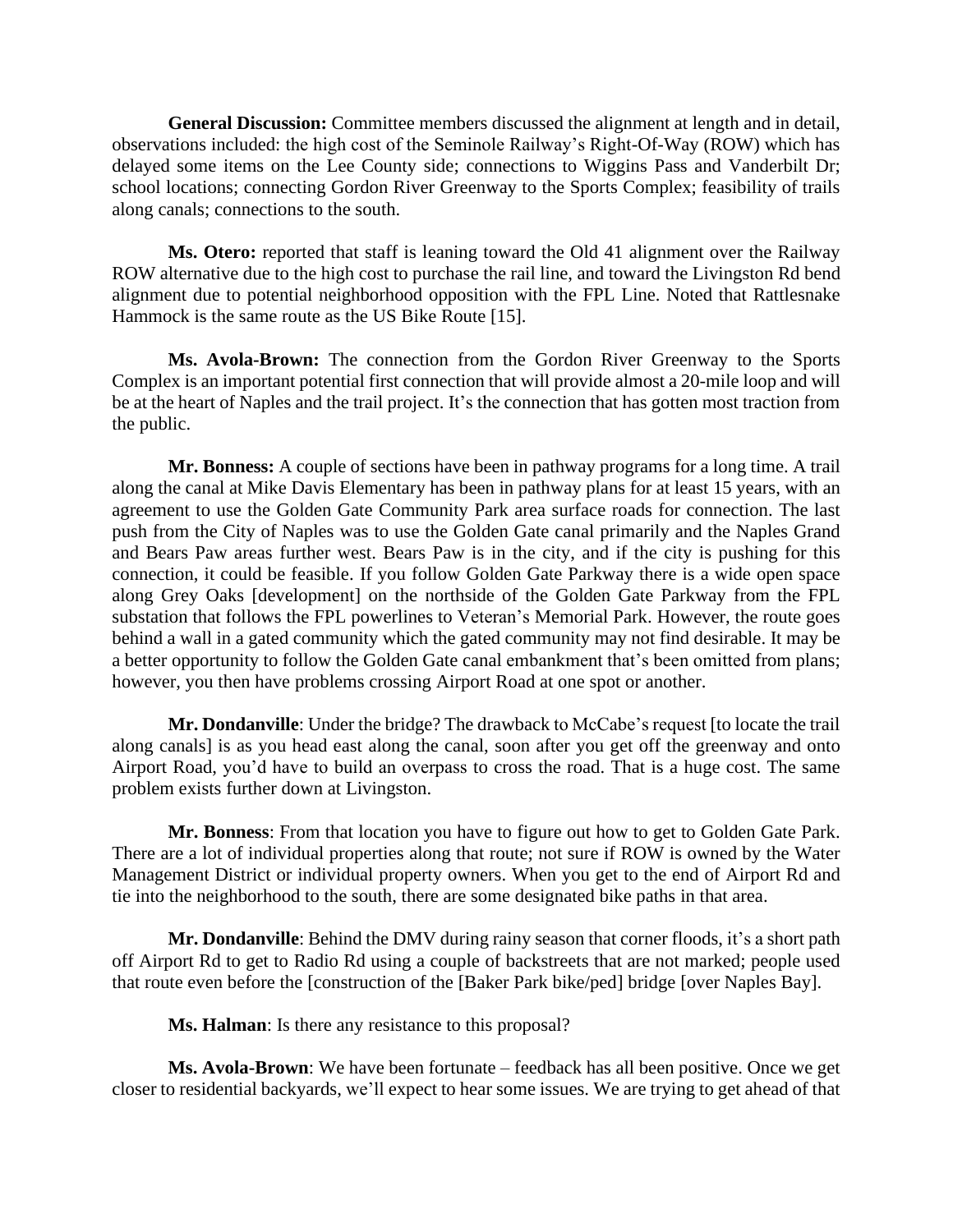**General Discussion:** Committee members discussed the alignment at length and in detail, observations included: the high cost of the Seminole Railway's Right-Of-Way (ROW) which has delayed some items on the Lee County side; connections to Wiggins Pass and Vanderbilt Dr; school locations; connecting Gordon River Greenway to the Sports Complex; feasibility of trails along canals; connections to the south.

**Ms. Otero:** reported that staff is leaning toward the Old 41 alignment over the Railway ROW alternative due to the high cost to purchase the rail line, and toward the Livingston Rd bend alignment due to potential neighborhood opposition with the FPL Line. Noted that Rattlesnake Hammock is the same route as the US Bike Route [15].

**Ms. Avola-Brown:** The connection from the Gordon River Greenway to the Sports Complex is an important potential first connection that will provide almost a 20-mile loop and will be at the heart of Naples and the trail project. It's the connection that has gotten most traction from the public.

**Mr. Bonness:** A couple of sections have been in pathway programs for a long time. A trail along the canal at Mike Davis Elementary has been in pathway plans for at least 15 years, with an agreement to use the Golden Gate Community Park area surface roads for connection. The last push from the City of Naples was to use the Golden Gate canal primarily and the Naples Grand and Bears Paw areas further west. Bears Paw is in the city, and if the city is pushing for this connection, it could be feasible. If you follow Golden Gate Parkway there is a wide open space along Grey Oaks [development] on the northside of the Golden Gate Parkway from the FPL substation that follows the FPL powerlines to Veteran's Memorial Park. However, the route goes behind a wall in a gated community which the gated community may not find desirable. It may be a better opportunity to follow the Golden Gate canal embankment that's been omitted from plans; however, you then have problems crossing Airport Road at one spot or another.

**Mr. Dondanville**: Under the bridge? The drawback to McCabe's request [to locate the trail along canals] is as you head east along the canal, soon after you get off the greenway and onto Airport Road, you'd have to build an overpass to cross the road. That is a huge cost. The same problem exists further down at Livingston.

**Mr. Bonness**: From that location you have to figure out how to get to Golden Gate Park. There are a lot of individual properties along that route; not sure if ROW is owned by the Water Management District or individual property owners. When you get to the end of Airport Rd and tie into the neighborhood to the south, there are some designated bike paths in that area.

**Mr. Dondanville**: Behind the DMV during rainy season that corner floods, it's a short path off Airport Rd to get to Radio Rd using a couple of backstreets that are not marked; people used that route even before the [construction of the [Baker Park bike/ped] bridge [over Naples Bay].

**Ms. Halman**: Is there any resistance to this proposal?

**Ms. Avola-Brown**: We have been fortunate – feedback has all been positive. Once we get closer to residential backyards, we'll expect to hear some issues. We are trying to get ahead of that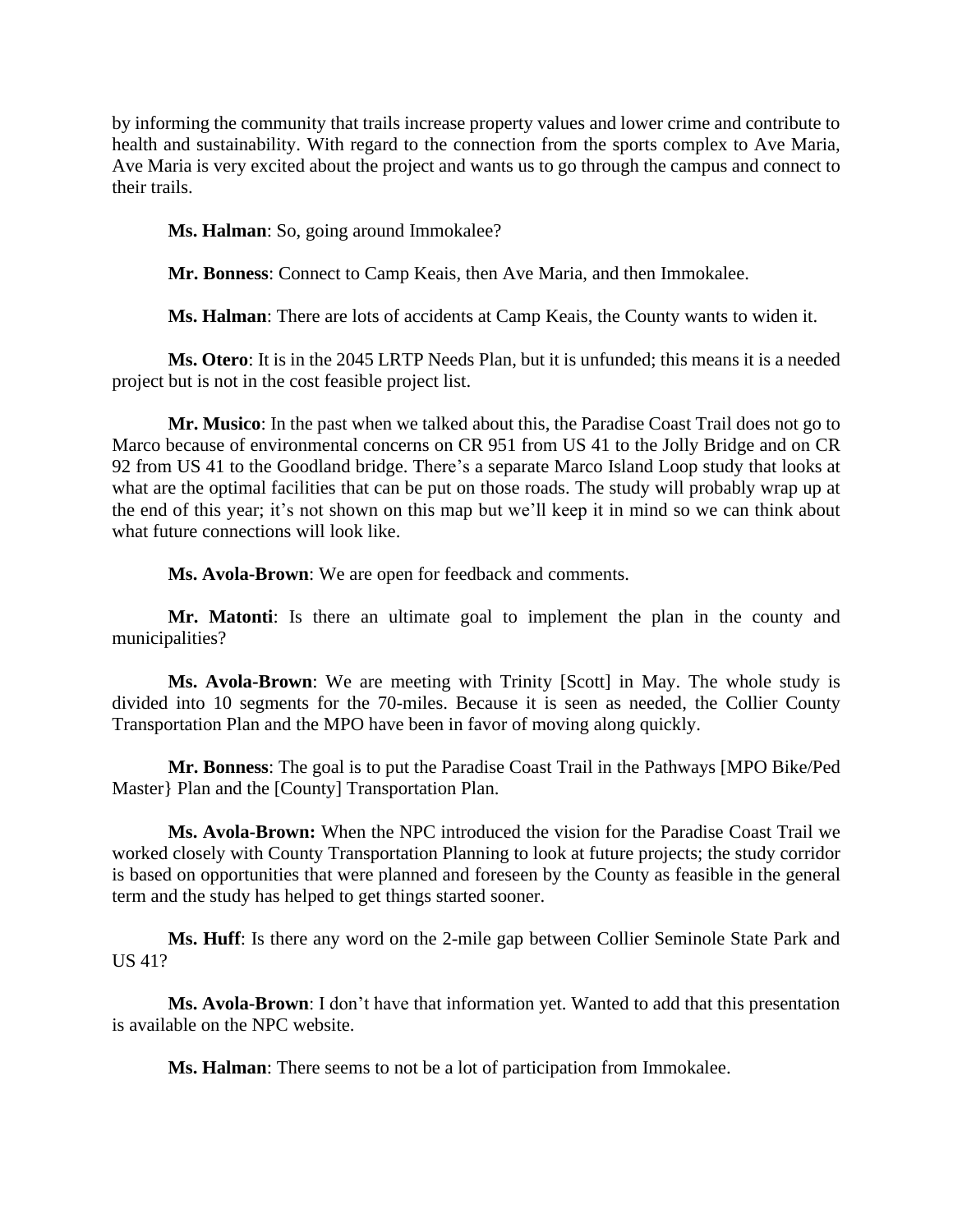by informing the community that trails increase property values and lower crime and contribute to health and sustainability. With regard to the connection from the sports complex to Ave Maria, Ave Maria is very excited about the project and wants us to go through the campus and connect to their trails.

**Ms. Halman**: So, going around Immokalee?

**Mr. Bonness**: Connect to Camp Keais, then Ave Maria, and then Immokalee.

**Ms. Halman**: There are lots of accidents at Camp Keais, the County wants to widen it.

**Ms. Otero**: It is in the 2045 LRTP Needs Plan, but it is unfunded; this means it is a needed project but is not in the cost feasible project list.

**Mr. Musico**: In the past when we talked about this, the Paradise Coast Trail does not go to Marco because of environmental concerns on CR 951 from US 41 to the Jolly Bridge and on CR 92 from US 41 to the Goodland bridge. There's a separate Marco Island Loop study that looks at what are the optimal facilities that can be put on those roads. The study will probably wrap up at the end of this year; it's not shown on this map but we'll keep it in mind so we can think about what future connections will look like.

**Ms. Avola-Brown**: We are open for feedback and comments.

**Mr. Matonti**: Is there an ultimate goal to implement the plan in the county and municipalities?

**Ms. Avola-Brown**: We are meeting with Trinity [Scott] in May. The whole study is divided into 10 segments for the 70-miles. Because it is seen as needed, the Collier County Transportation Plan and the MPO have been in favor of moving along quickly.

**Mr. Bonness**: The goal is to put the Paradise Coast Trail in the Pathways [MPO Bike/Ped Master} Plan and the [County] Transportation Plan.

**Ms. Avola-Brown:** When the NPC introduced the vision for the Paradise Coast Trail we worked closely with County Transportation Planning to look at future projects; the study corridor is based on opportunities that were planned and foreseen by the County as feasible in the general term and the study has helped to get things started sooner.

**Ms. Huff**: Is there any word on the 2-mile gap between Collier Seminole State Park and US 41?

**Ms. Avola-Brown**: I don't have that information yet. Wanted to add that this presentation is available on the NPC website.

**Ms. Halman**: There seems to not be a lot of participation from Immokalee.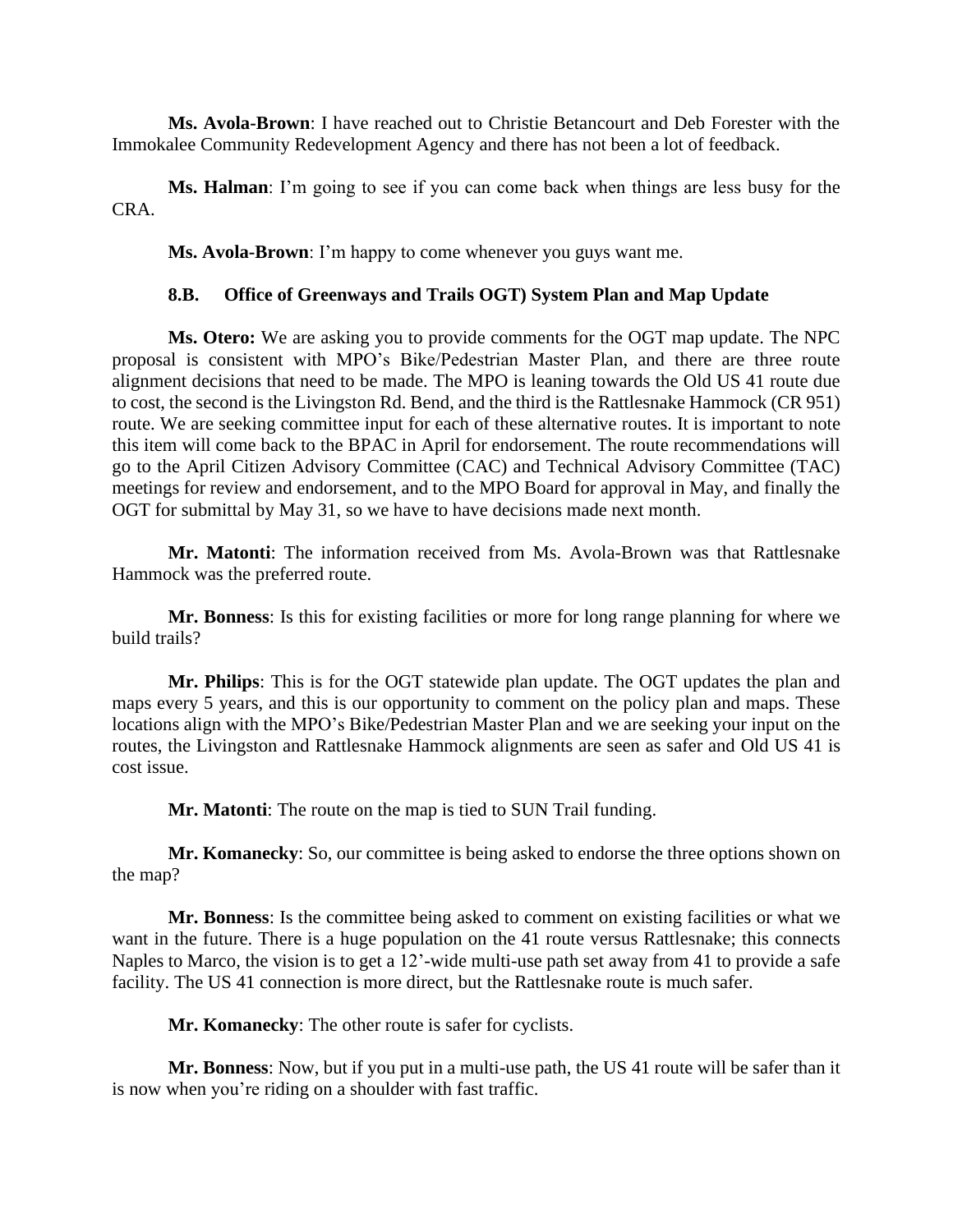**Ms. Avola-Brown**: I have reached out to Christie Betancourt and Deb Forester with the Immokalee Community Redevelopment Agency and there has not been a lot of feedback.

**Ms. Halman**: I'm going to see if you can come back when things are less busy for the CRA.

**Ms. Avola-Brown**: I'm happy to come whenever you guys want me.

### **8.B. Office of Greenways and Trails OGT) System Plan and Map Update**

**Ms. Otero:** We are asking you to provide comments for the OGT map update. The NPC proposal is consistent with MPO's Bike/Pedestrian Master Plan, and there are three route alignment decisions that need to be made. The MPO is leaning towards the Old US 41 route due to cost, the second is the Livingston Rd. Bend, and the third is the Rattlesnake Hammock (CR 951) route. We are seeking committee input for each of these alternative routes. It is important to note this item will come back to the BPAC in April for endorsement. The route recommendations will go to the April Citizen Advisory Committee (CAC) and Technical Advisory Committee (TAC) meetings for review and endorsement, and to the MPO Board for approval in May, and finally the OGT for submittal by May 31, so we have to have decisions made next month.

**Mr. Matonti**: The information received from Ms. Avola-Brown was that Rattlesnake Hammock was the preferred route.

**Mr. Bonness**: Is this for existing facilities or more for long range planning for where we build trails?

**Mr. Philips**: This is for the OGT statewide plan update. The OGT updates the plan and maps every 5 years, and this is our opportunity to comment on the policy plan and maps. These locations align with the MPO's Bike/Pedestrian Master Plan and we are seeking your input on the routes, the Livingston and Rattlesnake Hammock alignments are seen as safer and Old US 41 is cost issue.

**Mr. Matonti**: The route on the map is tied to SUN Trail funding.

**Mr. Komanecky**: So, our committee is being asked to endorse the three options shown on the map?

**Mr. Bonness**: Is the committee being asked to comment on existing facilities or what we want in the future. There is a huge population on the 41 route versus Rattlesnake; this connects Naples to Marco, the vision is to get a 12'-wide multi-use path set away from 41 to provide a safe facility. The US 41 connection is more direct, but the Rattlesnake route is much safer.

**Mr. Komanecky**: The other route is safer for cyclists.

**Mr. Bonness**: Now, but if you put in a multi-use path, the US 41 route will be safer than it is now when you're riding on a shoulder with fast traffic.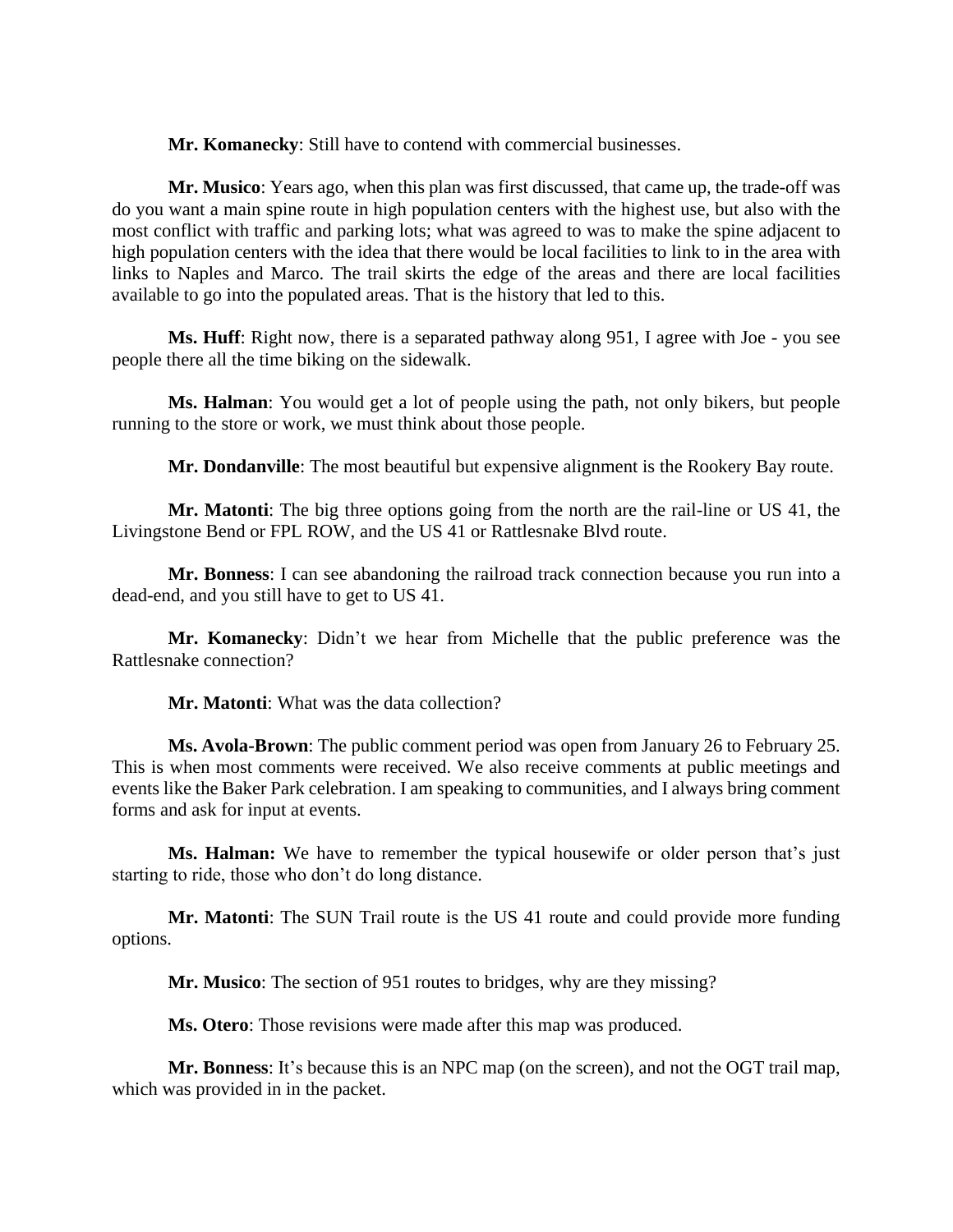**Mr. Komanecky**: Still have to contend with commercial businesses.

**Mr. Musico**: Years ago, when this plan was first discussed, that came up, the trade-off was do you want a main spine route in high population centers with the highest use, but also with the most conflict with traffic and parking lots; what was agreed to was to make the spine adjacent to high population centers with the idea that there would be local facilities to link to in the area with links to Naples and Marco. The trail skirts the edge of the areas and there are local facilities available to go into the populated areas. That is the history that led to this.

**Ms. Huff**: Right now, there is a separated pathway along 951, I agree with Joe - you see people there all the time biking on the sidewalk.

**Ms. Halman**: You would get a lot of people using the path, not only bikers, but people running to the store or work, we must think about those people.

**Mr. Dondanville**: The most beautiful but expensive alignment is the Rookery Bay route.

**Mr. Matonti**: The big three options going from the north are the rail-line or US 41, the Livingstone Bend or FPL ROW, and the US 41 or Rattlesnake Blvd route.

**Mr. Bonness**: I can see abandoning the railroad track connection because you run into a dead-end, and you still have to get to US 41.

**Mr. Komanecky**: Didn't we hear from Michelle that the public preference was the Rattlesnake connection?

**Mr. Matonti**: What was the data collection?

**Ms. Avola-Brown**: The public comment period was open from January 26 to February 25. This is when most comments were received. We also receive comments at public meetings and events like the Baker Park celebration. I am speaking to communities, and I always bring comment forms and ask for input at events.

**Ms. Halman:** We have to remember the typical housewife or older person that's just starting to ride, those who don't do long distance.

**Mr. Matonti**: The SUN Trail route is the US 41 route and could provide more funding options.

**Mr. Musico**: The section of 951 routes to bridges, why are they missing?

**Ms. Otero**: Those revisions were made after this map was produced.

**Mr. Bonness**: It's because this is an NPC map (on the screen), and not the OGT trail map, which was provided in in the packet.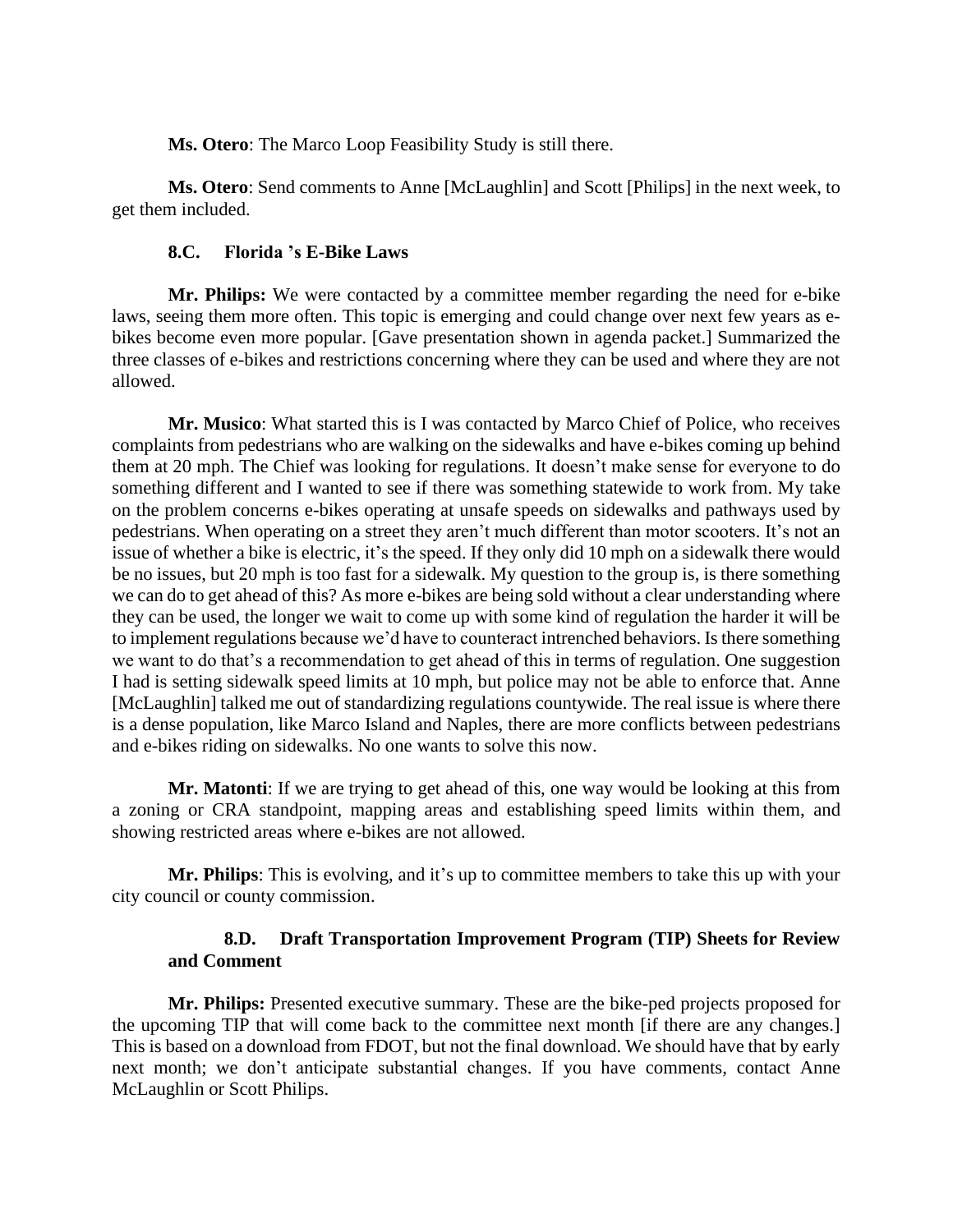**Ms. Otero**: The Marco Loop Feasibility Study is still there.

**Ms. Otero**: Send comments to Anne [McLaughlin] and Scott [Philips] in the next week, to get them included.

### **8.C. Florida 's E-Bike Laws**

**Mr. Philips:** We were contacted by a committee member regarding the need for e-bike laws, seeing them more often. This topic is emerging and could change over next few years as ebikes become even more popular. [Gave presentation shown in agenda packet.] Summarized the three classes of e-bikes and restrictions concerning where they can be used and where they are not allowed.

**Mr. Musico**: What started this is I was contacted by Marco Chief of Police, who receives complaints from pedestrians who are walking on the sidewalks and have e-bikes coming up behind them at 20 mph. The Chief was looking for regulations. It doesn't make sense for everyone to do something different and I wanted to see if there was something statewide to work from. My take on the problem concerns e-bikes operating at unsafe speeds on sidewalks and pathways used by pedestrians. When operating on a street they aren't much different than motor scooters. It's not an issue of whether a bike is electric, it's the speed. If they only did 10 mph on a sidewalk there would be no issues, but 20 mph is too fast for a sidewalk. My question to the group is, is there something we can do to get ahead of this? As more e-bikes are being sold without a clear understanding where they can be used, the longer we wait to come up with some kind of regulation the harder it will be to implement regulations because we'd have to counteract intrenched behaviors. Is there something we want to do that's a recommendation to get ahead of this in terms of regulation. One suggestion I had is setting sidewalk speed limits at 10 mph, but police may not be able to enforce that. Anne [McLaughlin] talked me out of standardizing regulations countywide. The real issue is where there is a dense population, like Marco Island and Naples, there are more conflicts between pedestrians and e-bikes riding on sidewalks. No one wants to solve this now.

**Mr. Matonti**: If we are trying to get ahead of this, one way would be looking at this from a zoning or CRA standpoint, mapping areas and establishing speed limits within them, and showing restricted areas where e-bikes are not allowed.

**Mr. Philips**: This is evolving, and it's up to committee members to take this up with your city council or county commission.

# **8.D. Draft Transportation Improvement Program (TIP) Sheets for Review and Comment**

**Mr. Philips:** Presented executive summary. These are the bike-ped projects proposed for the upcoming TIP that will come back to the committee next month [if there are any changes.] This is based on a download from FDOT, but not the final download. We should have that by early next month; we don't anticipate substantial changes. If you have comments, contact Anne McLaughlin or Scott Philips.